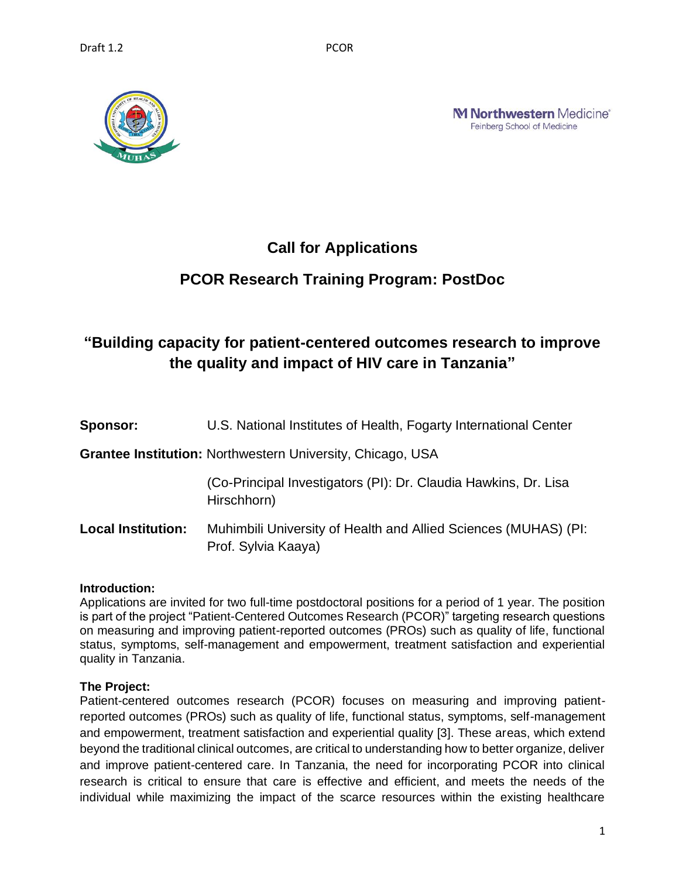

**M Northwestern** Medicine<sup>®</sup> Feinberg School of Medicine

## **Call for Applications**

## **PCOR Research Training Program: PostDoc**

# **"Building capacity for patient-centered outcomes research to improve the quality and impact of HIV care in Tanzania"**

| <b>Sponsor:</b>           | U.S. National Institutes of Health, Fogarty International Center                       |
|---------------------------|----------------------------------------------------------------------------------------|
|                           | <b>Grantee Institution: Northwestern University, Chicago, USA</b>                      |
|                           | (Co-Principal Investigators (PI): Dr. Claudia Hawkins, Dr. Lisa<br>Hirschhorn)         |
| <b>Local Institution:</b> | Muhimbili University of Health and Allied Sciences (MUHAS) (PI:<br>Prof. Sylvia Kaaya) |

## **Introduction:**

Applications are invited for two full-time postdoctoral positions for a period of 1 year. The position is part of the project "Patient-Centered Outcomes Research (PCOR)" targeting research questions on measuring and improving patient-reported outcomes (PROs) such as quality of life, functional status, symptoms, self-management and empowerment, treatment satisfaction and experiential quality in Tanzania.

## **The Project:**

Patient-centered outcomes research (PCOR) focuses on measuring and improving patientreported outcomes (PROs) such as quality of life, functional status, symptoms, self-management and empowerment, treatment satisfaction and experiential quality [3]. These areas, which extend beyond the traditional clinical outcomes, are critical to understanding how to better organize, deliver and improve patient-centered care. In Tanzania, the need for incorporating PCOR into clinical research is critical to ensure that care is effective and efficient, and meets the needs of the individual while maximizing the impact of the scarce resources within the existing healthcare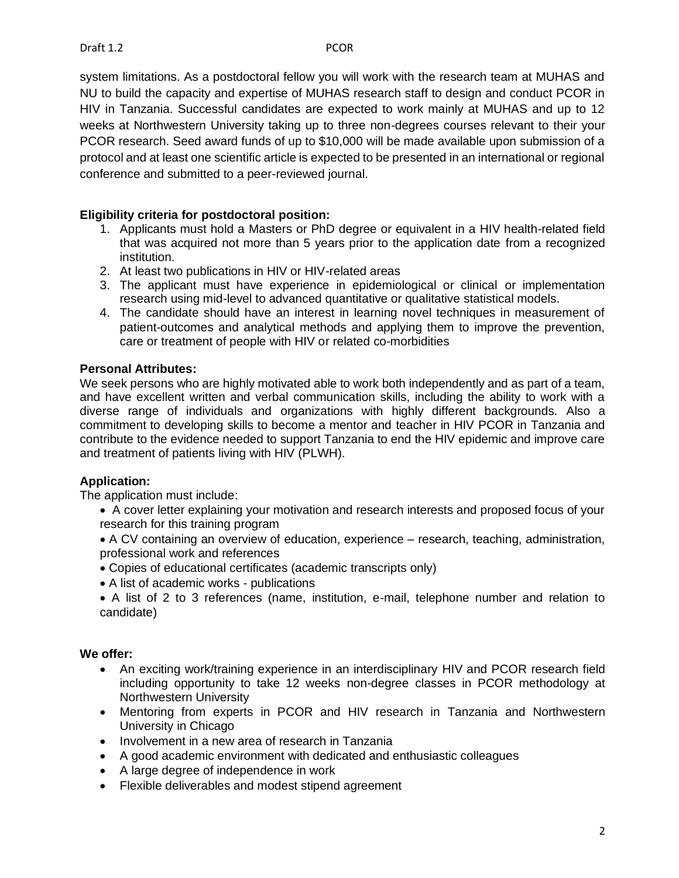system limitations. As a postdoctoral fellow you will work with the research team at MUHAS and NU to build the capacity and expertise of MUHAS research staff to design and conduct PCOR in HIV in Tanzania. Successful candidates are expected to work mainly at MUHAS and up to 12 weeks at Northwestern University taking up to three non-degrees courses relevant to their your PCOR research. Seed award funds of up to \$10,000 will be made available upon submission of a protocol and at least one scientific article is expected to be presented in an international or regional conference and submitted to a peer-reviewed journal.

## **Eligibility criteria for postdoctoral position:**

- 1. Applicants must hold a Masters or PhD degree or equivalent in a HIV health-related field that was acquired not more than 5 years prior to the application date from a recognized institution.
- 2. At least two publications in HIV or HIV-related areas
- 3. The applicant must have experience in epidemiological or clinical or implementation research using mid-level to advanced quantitative or qualitative statistical models.
- 4. The candidate should have an interest in learning novel techniques in measurement of patient-outcomes and analytical methods and applying them to improve the prevention, care or treatment of people with HIV or related co-morbidities

#### **Personal Attributes:**

We seek persons who are highly motivated able to work both independently and as part of a team, and have excellent written and verbal communication skills, including the ability to work with a diverse range of individuals and organizations with highly different backgrounds. Also a commitment to developing skills to become a mentor and teacher in HIV PCOR in Tanzania and contribute to the evidence needed to support Tanzania to end the HIV epidemic and improve care and treatment of patients living with HIV (PLWH).

## **Application:**

The application must include:

- A cover letter explaining your motivation and research interests and proposed focus of your research for this training program
- A CV containing an overview of education, experience research, teaching, administration, professional work and references
- Copies of educational certificates (academic transcripts only)
- A list of academic works publications
- A list of 2 to 3 references (name, institution, e-mail, telephone number and relation to candidate)

## **We offer:**

- An exciting work/training experience in an interdisciplinary HIV and PCOR research field including opportunity to take 12 weeks non-degree classes in PCOR methodology at Northwestern University
- Mentoring from experts in PCOR and HIV research in Tanzania and Northwestern University in Chicago
- Involvement in a new area of research in Tanzania
- A good academic environment with dedicated and enthusiastic colleagues
- A large degree of independence in work
- Flexible deliverables and modest stipend agreement